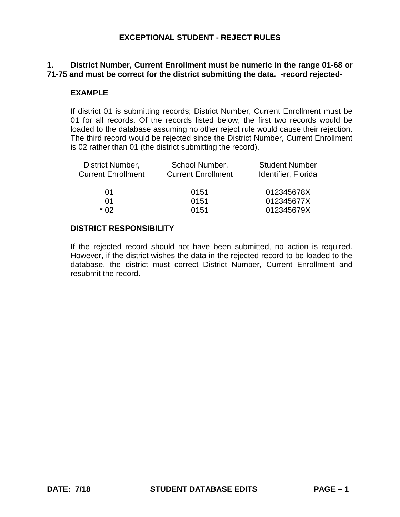# **1. District Number, Current Enrollment must be numeric in the range 01-68 or 71-75 and must be correct for the district submitting the data. -record rejected-**

#### **EXAMPLE**

 If district 01 is submitting records; District Number, Current Enrollment must be 01 for all records. Of the records listed below, the first two records would be loaded to the database assuming no other reject rule would cause their rejection. The third record would be rejected since the District Number, Current Enrollment is 02 rather than 01 (the district submitting the record).

| District Number,          | School Number,            | <b>Student Number</b> |
|---------------------------|---------------------------|-----------------------|
| <b>Current Enrollment</b> | <b>Current Enrollment</b> | Identifier, Florida   |
| 01                        | 0151                      | 012345678X            |
|                           | 0151                      | 012345677X            |
| * በ2                      | 0151                      | 012345679X            |

#### **DISTRICT RESPONSIBILITY**

 If the rejected record should not have been submitted, no action is required. However, if the district wishes the data in the rejected record to be loaded to the database, the district must correct District Number, Current Enrollment and resubmit the record.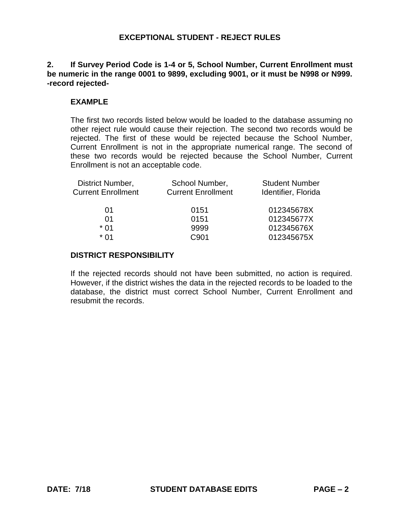# **2. If Survey Period Code is 1-4 or 5, School Number, Current Enrollment must be numeric in the range 0001 to 9899, excluding 9001, or it must be N998 or N999. -record rejected-**

# **EXAMPLE**

 The first two records listed below would be loaded to the database assuming no other reject rule would cause their rejection. The second two records would be rejected. The first of these would be rejected because the School Number, Current Enrollment is not in the appropriate numerical range. The second of these two records would be rejected because the School Number, Current Enrollment is not an acceptable code.

| District Number,          | School Number,            | <b>Student Number</b> |
|---------------------------|---------------------------|-----------------------|
| <b>Current Enrollment</b> | <b>Current Enrollment</b> | Identifier, Florida   |
|                           |                           |                       |
| 01                        | 0151                      | 012345678X            |
| 01                        | 0151                      | 012345677X            |
| $*01$                     | 9999                      | 012345676X            |
| * በ1                      | C901                      | 012345675X            |
|                           |                           |                       |

#### **DISTRICT RESPONSIBILITY**

 If the rejected records should not have been submitted, no action is required. However, if the district wishes the data in the rejected records to be loaded to the database, the district must correct School Number, Current Enrollment and resubmit the records.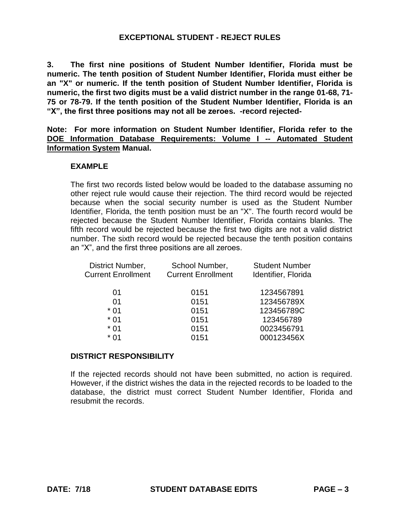**3. The first nine positions of Student Number Identifier, Florida must be numeric. The tenth position of Student Number Identifier, Florida must either be an "X" or numeric. If the tenth position of Student Number Identifier, Florida is 75 or 78-79. If the tenth position of the Student Number Identifier, Florida is an numeric, the first two digits must be a valid district number in the range 01-68, 71- "X", the first three positions may not all be zeroes. -record rejected-**

 **Note: For more information on Student Number Identifier, Florida refer to the DOE Information Database Requirements: Volume I -- Automated Student Information System Manual.** 

#### **EXAMPLE**

 The first two records listed below would be loaded to the database assuming no other reject rule would cause their rejection. The third record would be rejected because when the social security number is used as the Student Number Identifier, Florida, the tenth position must be an "X". The fourth record would be rejected because the Student Number Identifier, Florida contains blanks. The fifth record would be rejected because the first two digits are not a valid district number. The sixth record would be rejected because the tenth position contains an "X", and the first three positions are all zeroes.

| District Number,          | School Number,            | <b>Student Number</b> |
|---------------------------|---------------------------|-----------------------|
| <b>Current Enrollment</b> | <b>Current Enrollment</b> | Identifier, Florida   |
| 01                        | 0151                      | 1234567891            |
| 01                        | 0151                      | 123456789X            |
| $*01$                     | 0151                      | 123456789C            |
| $*01$                     | 0151                      | 123456789             |
| $*01$                     | 0151                      | 0023456791            |
| $*01$                     | 0151                      | 000123456X            |
|                           |                           |                       |

#### **DISTRICT RESPONSIBILITY**

 If the rejected records should not have been submitted, no action is required. However, if the district wishes the data in the rejected records to be loaded to the database, the district must correct Student Number Identifier, Florida and resubmit the records.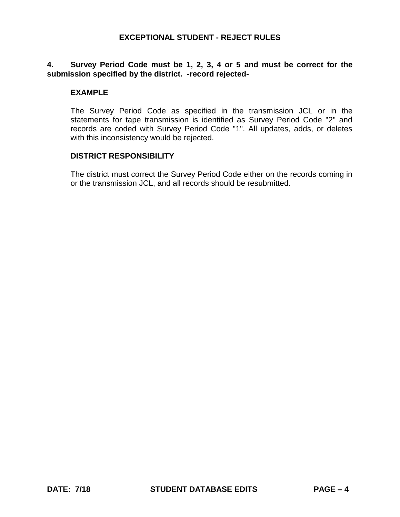## **4. Survey Period Code must be 1, 2, 3, 4 or 5 and must be correct for the submission specified by the district. -record rejected-**

#### **EXAMPLE**

 The Survey Period Code as specified in the transmission JCL or in the statements for tape transmission is identified as Survey Period Code "2" and records are coded with Survey Period Code "1". All updates, adds, or deletes with this inconsistency would be rejected.

#### **DISTRICT RESPONSIBILITY**

 The district must correct the Survey Period Code either on the records coming in or the transmission JCL, and all records should be resubmitted.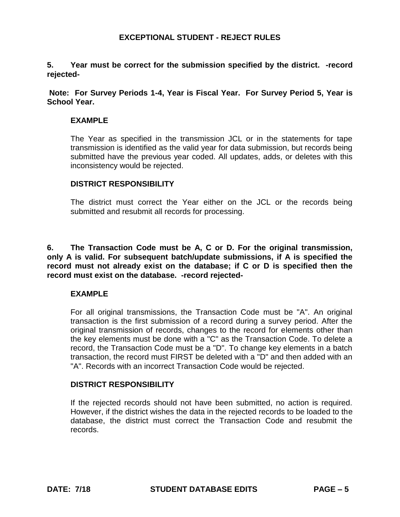**5. Year must be correct for the submission specified by the district. -record rejected-**

 **Note: For Survey Periods 1-4, Year is Fiscal Year. For Survey Period 5, Year is School Year.** 

#### **EXAMPLE**

 The Year as specified in the transmission JCL or in the statements for tape transmission is identified as the valid year for data submission, but records being submitted have the previous year coded. All updates, adds, or deletes with this inconsistency would be rejected.

#### **DISTRICT RESPONSIBILITY**

 The district must correct the Year either on the JCL or the records being submitted and resubmit all records for processing.

 **6. The Transaction Code must be A, C or D. For the original transmission, only A is valid. For subsequent batch/update submissions, if A is specified the record must not already exist on the database; if C or D is specified then the record must exist on the database. -record rejected-**

#### **EXAMPLE**

 For all original transmissions, the Transaction Code must be "A". An original transaction is the first submission of a record during a survey period. After the original transmission of records, changes to the record for elements other than the key elements must be done with a "C" as the Transaction Code. To delete a record, the Transaction Code must be a "D". To change key elements in a batch transaction, the record must FIRST be deleted with a "D" and then added with an "A". Records with an incorrect Transaction Code would be rejected.

#### **DISTRICT RESPONSIBILITY**

 If the rejected records should not have been submitted, no action is required. However, if the district wishes the data in the rejected records to be loaded to the database, the district must correct the Transaction Code and resubmit the records.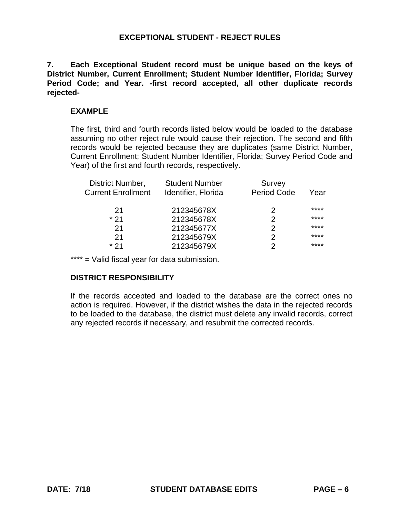**7. Each Exceptional Student record must be unique based on the keys of District Number, Current Enrollment; Student Number Identifier, Florida; Survey Period Code; and Year. -first record accepted, all other duplicate records rejected-**

#### **EXAMPLE**

 The first, third and fourth records listed below would be loaded to the database assuming no other reject rule would cause their rejection. The second and fifth records would be rejected because they are duplicates (same District Number, Current Enrollment; Student Number Identifier, Florida; Survey Period Code and Year) of the first and fourth records, respectively.

| District Number,          | <b>Student Number</b> | Survey             |      |
|---------------------------|-----------------------|--------------------|------|
| <b>Current Enrollment</b> | Identifier, Florida   | <b>Period Code</b> | Year |
| 21                        | 212345678X            | 2                  | **** |
| $*21$                     | 212345678X            | 2                  | **** |
| 21                        | 212345677X            | 2                  | **** |
| 21                        | 212345679X            | 2                  | **** |
| * 21                      | 212345679X            | 2                  | **** |
|                           |                       |                    |      |

\*\*\*\* = Valid fiscal year for data submission.

# **DISTRICT RESPONSIBILITY**

 If the records accepted and loaded to the database are the correct ones no action is required. However, if the district wishes the data in the rejected records to be loaded to the database, the district must delete any invalid records, correct any rejected records if necessary, and resubmit the corrected records.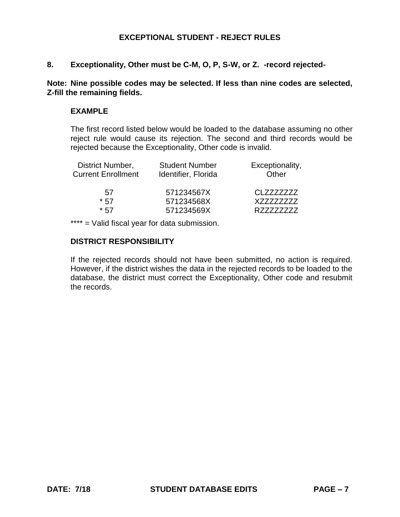#### **8. Exceptionality, Other must be C-M, O, P, S-W, or Z. -record rejected-**

#### **Note: Nine possible codes may be selected. If less than nine codes are selected, Z-fill the remaining fields.**

#### **EXAMPLE**

 The first record listed below would be loaded to the database assuming no other reject rule would cause its rejection. The second and third records would be rejected because the Exceptionality, Other code is invalid.

| <b>Student Number</b> | Exceptionality, |
|-----------------------|-----------------|
| Identifier, Florida   | Other           |
| 571234567X            | CLZZZZZZZZ      |
| 571234568X            | X77777777       |
| 571234569X            | R77777777       |
|                       |                 |

\*\*\*\* = Valid fiscal year for data submission.

# **DISTRICT RESPONSIBILITY**

 If the rejected records should not have been submitted, no action is required. However, if the district wishes the data in the rejected records to be loaded to the database, the district must correct the Exceptionality, Other code and resubmit the records.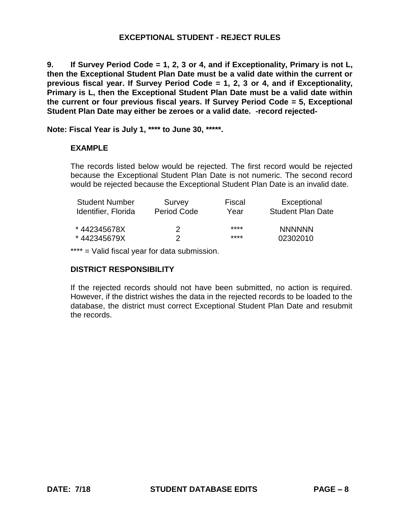**9. If Survey Period Code = 1, 2, 3 or 4, and if Exceptionality, Primary is not L, then the Exceptional Student Plan Date must be a valid date within the current or previous fiscal year. If Survey Period Code = 1, 2, 3 or 4, and if Exceptionality, Primary is L, then the Exceptional Student Plan Date must be a valid date within the current or four previous fiscal years. If Survey Period Code = 5, Exceptional Student Plan Date may either be zeroes or a valid date. -record rejected-**

**Note: Fiscal Year is July 1, \*\*\*\* to June 30, \*\*\*\*\*.** 

# **EXAMPLE**

 The records listed below would be rejected. The first record would be rejected because the Exceptional Student Plan Date is not numeric. The second record would be rejected because the Exceptional Student Plan Date is an invalid date.

| <b>Student Number</b><br>Identifier, Florida | Survey<br>Period Code | Fiscal<br>Year | Exceptional<br><b>Student Plan Date</b> |
|----------------------------------------------|-----------------------|----------------|-----------------------------------------|
| *442345678X                                  | 2                     | ****           | <b>NNNNNN</b>                           |
| *442345679X                                  |                       | ****           | 02302010                                |

\*\*\*\* = Valid fiscal year for data submission.

# **DISTRICT RESPONSIBILITY**

 If the rejected records should not have been submitted, no action is required. However, if the district wishes the data in the rejected records to be loaded to the database, the district must correct Exceptional Student Plan Date and resubmit the records.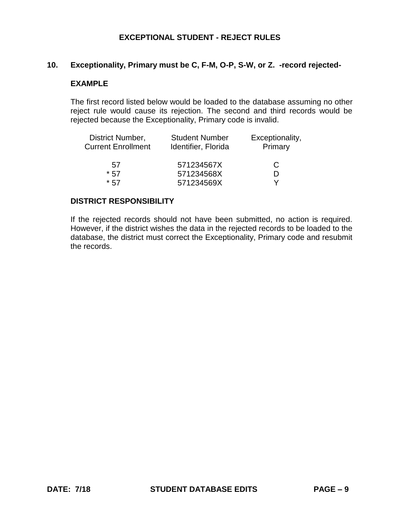#### **10. Exceptionality, Primary must be C, F-M, O-P, S-W, or Z. -record rejected-**

#### **EXAMPLE**

 The first record listed below would be loaded to the database assuming no other reject rule would cause its rejection. The second and third records would be rejected because the Exceptionality, Primary code is invalid.

| District Number,          | <b>Student Number</b> | Exceptionality, |
|---------------------------|-----------------------|-----------------|
| <b>Current Enrollment</b> | Identifier, Florida   | Primary         |
| 57                        | 571234567X            | C               |
| $*57$                     | 571234568X            |                 |
| $*57$                     | 571234569X            | v               |

#### **DISTRICT RESPONSIBILITY**

 If the rejected records should not have been submitted, no action is required. However, if the district wishes the data in the rejected records to be loaded to the database, the district must correct the Exceptionality, Primary code and resubmit the records.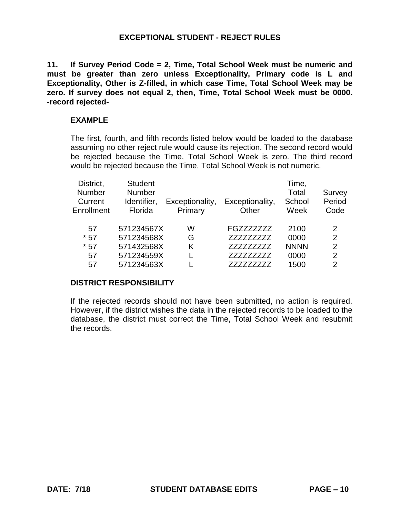**11. If Survey Period Code = 2, Time, Total School Week must be numeric and must be greater than zero unless Exceptionality, Primary code is L and Exceptionality, Other is Z-filled, in which case Time, Total School Week may be zero. If survey does not equal 2, then, Time, Total School Week must be 0000. -record rejected-**

#### **EXAMPLE**

 The first, fourth, and fifth records listed below would be loaded to the database assuming no other reject rule would cause its rejection. The second record would be rejected because the Time, Total School Week is zero. The third record would be rejected because the Time, Total School Week is not numeric.

| District,                | <b>Student</b>               |                 |                 | Time,           |                  |
|--------------------------|------------------------------|-----------------|-----------------|-----------------|------------------|
| <b>Number</b><br>Current | <b>Number</b><br>Identifier, | Exceptionality, | Exceptionality, | Total<br>School | Survey<br>Period |
| Enrollment               | Florida                      | Primary         | Other           | Week            | Code             |
| 57                       | 571234567X                   | W               | FGZZZZZZZZ      | 2100            | $\mathcal{P}$    |
| $*57$                    | 571234568X                   | G               | 7777777777      | 0000            | 2                |
| $*57$                    | 571432568X                   | K               | 777777777       | <b>NNNN</b>     | 2                |
| 57                       | 571234559X                   |                 | 7777777777      | 0000            | 2                |
| 57                       | 571234563X                   |                 | 77777777        | 1500            | 2                |

#### **DISTRICT RESPONSIBILITY**

 If the rejected records should not have been submitted, no action is required. However, if the district wishes the data in the rejected records to be loaded to the database, the district must correct the Time, Total School Week and resubmit the records.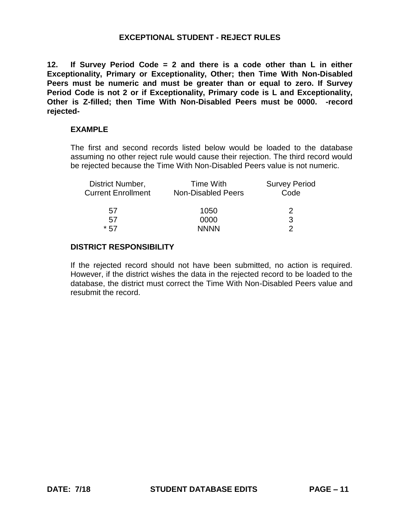**12. If Survey Period Code = 2 and there is a code other than L in either Peers must be numeric and must be greater than or equal to zero. If Survey Period Code is not 2 or if Exceptionality, Primary code is L and Exceptionality, Other is Z-filled; then Time With Non-Disabled Peers must be 0000. -record Exceptionality, Primary or Exceptionality, Other; then Time With Non-Disabled rejected-**

#### **EXAMPLE**

 The first and second records listed below would be loaded to the database assuming no other reject rule would cause their rejection. The third record would be rejected because the Time With Non-Disabled Peers value is not numeric.

| <b>Time With</b>          | <b>Survey Period</b> |
|---------------------------|----------------------|
| <b>Non-Disabled Peers</b> | Code                 |
| 1050                      | 2                    |
| 0000                      | 3                    |
| <b>NNNN</b>               | າ                    |
|                           |                      |

#### **DISTRICT RESPONSIBILITY**

 If the rejected record should not have been submitted, no action is required. However, if the district wishes the data in the rejected record to be loaded to the database, the district must correct the Time With Non-Disabled Peers value and resubmit the record.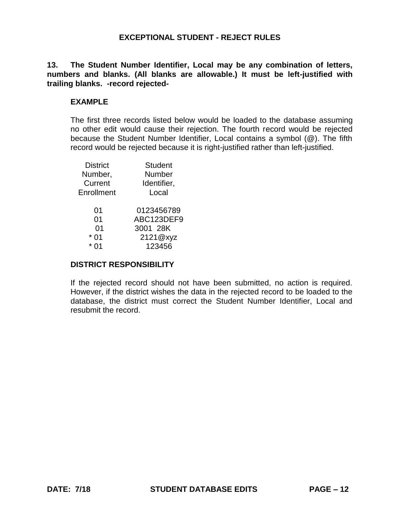**13. The Student Number Identifier, Local may be any combination of letters, numbers and blanks. (All blanks are allowable.) It must be left-justified with trailing blanks. -record rejected-**

#### **EXAMPLE**

 The first three records listed below would be loaded to the database assuming no other edit would cause their rejection. The fourth record would be rejected because the Student Number Identifier, Local contains a symbol (@). The fifth record would be rejected because it is right-justified rather than left-justified.

| <b>District</b> | <b>Student</b> |
|-----------------|----------------|
| Number,         | Number         |
| Current         | Identifier,    |
| Enrollment      | Local          |
| 01              | 0123456789     |
| 01              | ABC123DEF9     |
| 01              | 3001 28K       |
| 01              | 2121@xyz       |
|                 | 123456         |
|                 |                |

#### **DISTRICT RESPONSIBILITY**

 If the rejected record should not have been submitted, no action is required. However, if the district wishes the data in the rejected record to be loaded to the database, the district must correct the Student Number Identifier, Local and resubmit the record.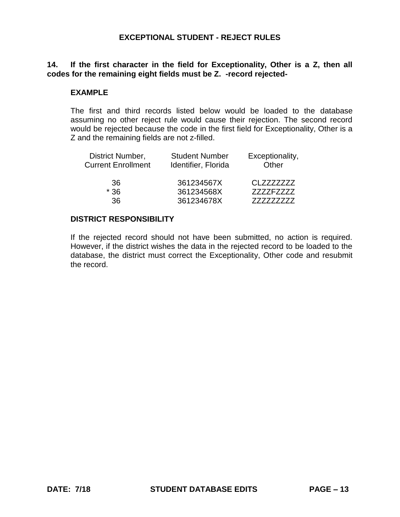# **14. If the first character in the field for Exceptionality, Other is a Z, then all codes for the remaining eight fields must be Z. -record rejected-**

#### **EXAMPLE**

 The first and third records listed below would be loaded to the database assuming no other reject rule would cause their rejection. The second record would be rejected because the code in the first field for Exceptionality, Other is a Z and the remaining fields are not z-filled.

| <b>Student Number</b><br>Identifier, Florida | Exceptionality,<br>Other |  |
|----------------------------------------------|--------------------------|--|
| 361234567X                                   | CI 7777777               |  |
| 361234568X                                   | 7777F7777                |  |
| 361234678X                                   |                          |  |
|                                              |                          |  |

#### **DISTRICT RESPONSIBILITY**

 If the rejected record should not have been submitted, no action is required. However, if the district wishes the data in the rejected record to be loaded to the database, the district must correct the Exceptionality, Other code and resubmit the record.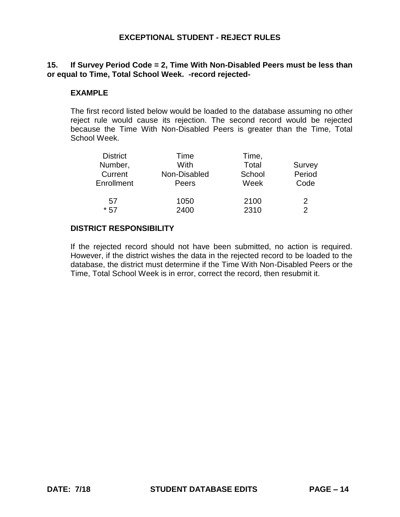# **15. If Survey Period Code = 2, Time With Non-Disabled Peers must be less than or equal to Time, Total School Week. -record rejected-**

# **EXAMPLE**

 The first record listed below would be loaded to the database assuming no other reject rule would cause its rejection. The second record would be rejected because the Time With Non-Disabled Peers is greater than the Time, Total School Week.

| <b>District</b> | Time         | Time,  |               |
|-----------------|--------------|--------|---------------|
| Number,         | With         | Total  | Survey        |
| Current         | Non-Disabled | School | Period        |
| Enrollment      | Peers        | Week   | Code          |
| 57              | 1050         | 2100   | 2             |
| $*57$           | 2400         | 2310   | $\mathcal{P}$ |

#### **DISTRICT RESPONSIBILITY**

 If the rejected record should not have been submitted, no action is required. However, if the district wishes the data in the rejected record to be loaded to the database, the district must determine if the Time With Non-Disabled Peers or the Time, Total School Week is in error, correct the record, then resubmit it.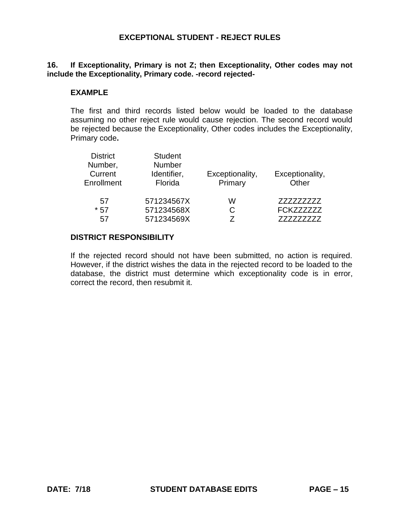### **16. If Exceptionality, Primary is not Z; then Exceptionality, Other codes may not include the Exceptionality, Primary code. -record rejected-**

#### **EXAMPLE**

 The first and third records listed below would be loaded to the database assuming no other reject rule would cause rejection. The second record would be rejected because the Exceptionality, Other codes includes the Exceptionality, Primary code**.** 

| <b>District</b> | <b>Student</b> |                 |                   |
|-----------------|----------------|-----------------|-------------------|
| Number,         | <b>Number</b>  |                 |                   |
| Current         | Identifier,    | Exceptionality, | Exceptionality,   |
| Enrollment      | Florida        | Primary         | Other             |
| 57              | 571234567X     | w               | 777777777         |
| $*57$           | 571234568X     | C               | <b>FCKZZZZZZZ</b> |
| .57             | 571234569X     |                 |                   |

# **DISTRICT RESPONSIBILITY**

 If the rejected record should not have been submitted, no action is required. However, if the district wishes the data in the rejected record to be loaded to the database, the district must determine which exceptionality code is in error, correct the record, then resubmit it.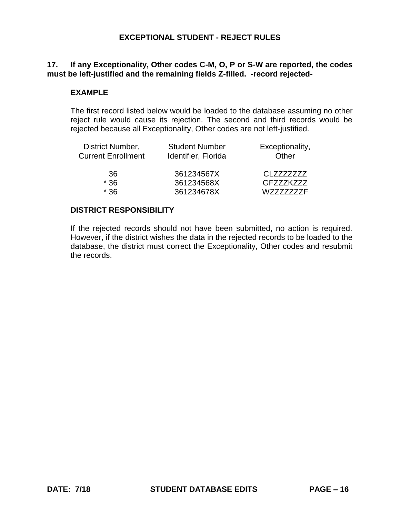# **17. If any Exceptionality, Other codes C-M, O, P or S-W are reported, the codes must be left-justified and the remaining fields Z-filled. -record rejected-**

## **EXAMPLE**

 The first record listed below would be loaded to the database assuming no other reject rule would cause its rejection. The second and third records would be rejected because all Exceptionality, Other codes are not left-justified.

| District Number,          | <b>Student Number</b> | Exceptionality,  |
|---------------------------|-----------------------|------------------|
| <b>Current Enrollment</b> | Identifier, Florida   | Other            |
| 36.                       | 361234567X            | CLZZZZZZZZ       |
| $*36$                     | 361234568X            | <b>GFZZZKZZZ</b> |
| $*36$                     | 361234678X            | <b>WZZZZZZZF</b> |

#### **DISTRICT RESPONSIBILITY**

 If the rejected records should not have been submitted, no action is required. However, if the district wishes the data in the rejected records to be loaded to the database, the district must correct the Exceptionality, Other codes and resubmit the records.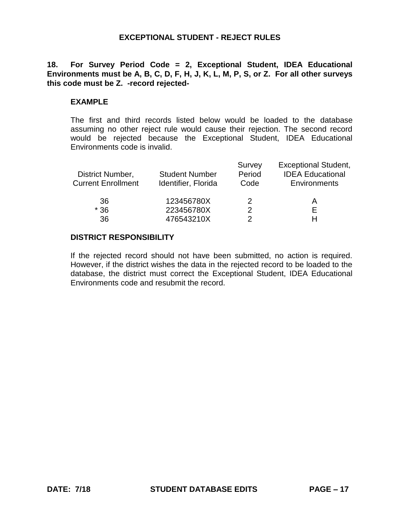# **18. For Survey Period Code = 2, Exceptional Student, IDEA Educational Environments must be A, B, C, D, F, H, J, K, L, M, P, S, or Z. For all other surveys this code must be Z. -record rejected-**

#### **EXAMPLE**

 The first and third records listed below would be loaded to the database assuming no other reject rule would cause their rejection. The second record would be rejected because the Exceptional Student, IDEA Educational Environments code is invalid.

| District Number,<br><b>Current Enrollment</b> | <b>Student Number</b><br>Identifier, Florida | Survey<br>Period<br>Code | <b>Exceptional Student,</b><br><b>IDEA Educational</b><br>Environments |
|-----------------------------------------------|----------------------------------------------|--------------------------|------------------------------------------------------------------------|
| 36                                            | 123456780X                                   | 2                        | А                                                                      |
| $*36$                                         | 223456780X                                   | 2                        |                                                                        |
| 36                                            | 476543210X                                   |                          |                                                                        |

# **DISTRICT RESPONSIBILITY**

 If the rejected record should not have been submitted, no action is required. However, if the district wishes the data in the rejected record to be loaded to the database, the district must correct the Exceptional Student, IDEA Educational Environments code and resubmit the record.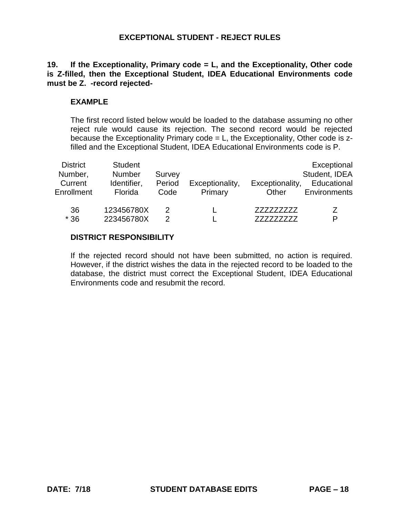# **19. If the Exceptionality, Primary code = L, and the Exceptionality, Other code is Z-filled, then the Exceptional Student, IDEA Educational Environments code must be Z. -record rejected-**

# **EXAMPLE**

 The first record listed below would be loaded to the database assuming no other reject rule would cause its rejection. The second record would be rejected because the Exceptionality Primary code = L, the Exceptionality, Other code is zfilled and the Exceptional Student, IDEA Educational Environments code is P.

| <b>District</b><br>Number,<br>Current<br>Enrollment | <b>Student</b><br>Number<br>Identifier,<br>Florida | Survey<br>Period<br>Code | Exceptionality,<br>Primary | Exceptionality,<br>Other | Exceptional<br>Student, IDEA<br>Educational<br><b>Environments</b> |
|-----------------------------------------------------|----------------------------------------------------|--------------------------|----------------------------|--------------------------|--------------------------------------------------------------------|
| 36<br>$*36$                                         | 123456780X<br>223456780X                           | 2                        |                            | 777777777                | 7<br>P                                                             |

# **DISTRICT RESPONSIBILITY**

 If the rejected record should not have been submitted, no action is required. However, if the district wishes the data in the rejected record to be loaded to the database, the district must correct the Exceptional Student, IDEA Educational Environments code and resubmit the record.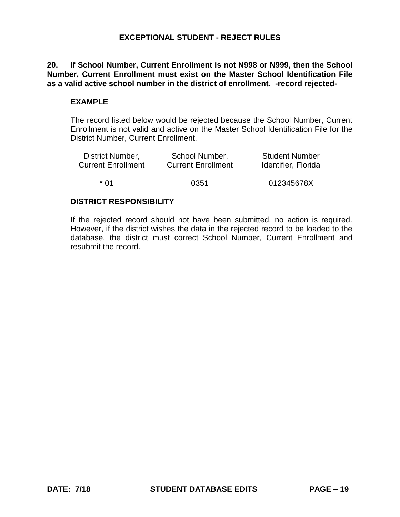**20. If School Number, Current Enrollment is not N998 or N999, then the School Number, Current Enrollment must exist on the Master School Identification File as a valid active school number in the district of enrollment. -record rejected-**

# **EXAMPLE**

 The record listed below would be rejected because the School Number, Current Enrollment is not valid and active on the Master School Identification File for the District Number, Current Enrollment.

| District Number,          | School Number,            | <b>Student Number</b> |
|---------------------------|---------------------------|-----------------------|
| <b>Current Enrollment</b> | <b>Current Enrollment</b> | Identifier, Florida   |
| * በ1                      | 0351                      | 012345678X            |

#### **DISTRICT RESPONSIBILITY**

 If the rejected record should not have been submitted, no action is required. However, if the district wishes the data in the rejected record to be loaded to the database, the district must correct School Number, Current Enrollment and resubmit the record.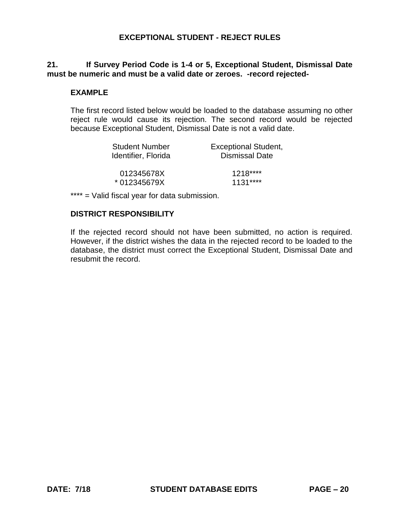# **21. If Survey Period Code is 1-4 or 5, Exceptional Student, Dismissal Date must be numeric and must be a valid date or zeroes. -record rejected-**

## **EXAMPLE**

 The first record listed below would be loaded to the database assuming no other reject rule would cause its rejection. The second record would be rejected because Exceptional Student, Dismissal Date is not a valid date.

| <b>Student Number</b> | <b>Exceptional Student,</b> |
|-----------------------|-----------------------------|
| Identifier, Florida   | <b>Dismissal Date</b>       |
| 012345678X            | $1218***$                   |
| * 012345679X          | $1131***$                   |

\*\*\*\* = Valid fiscal year for data submission.

#### **DISTRICT RESPONSIBILITY**

 If the rejected record should not have been submitted, no action is required. However, if the district wishes the data in the rejected record to be loaded to the database, the district must correct the Exceptional Student, Dismissal Date and resubmit the record.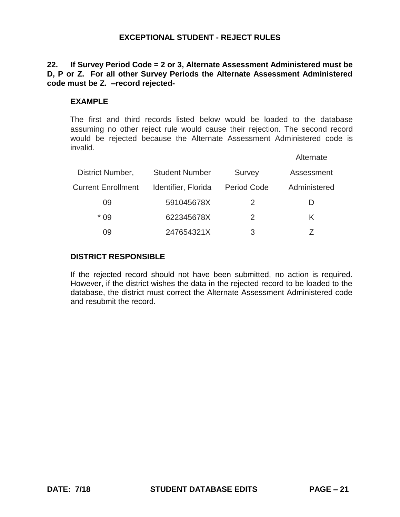# **D, P or Z. For all other Survey Periods the Alternate Assessment Administered 22. If Survey Period Code = 2 or 3, Alternate Assessment Administered must be code must be Z. –record rejected-**

# **EXAMPLE**

 The first and third records listed below would be loaded to the database assuming no other reject rule would cause their rejection. The second record would be rejected because the Alternate Assessment Administered code is invalid.

|                           |                       |                    | Alternate    |
|---------------------------|-----------------------|--------------------|--------------|
| District Number,          | <b>Student Number</b> | <b>Survey</b>      | Assessment   |
| <b>Current Enrollment</b> | Identifier, Florida   | <b>Period Code</b> | Administered |
| 09                        | 591045678X            | $\mathcal{P}$      |              |
| $*09$                     | 622345678X            | $\mathcal{P}$      | K.           |
| 09                        | 247654321X            | 3                  |              |

## **DISTRICT RESPONSIBLE**

 If the rejected record should not have been submitted, no action is required. However, if the district wishes the data in the rejected record to be loaded to the database, the district must correct the Alternate Assessment Administered code and resubmit the record.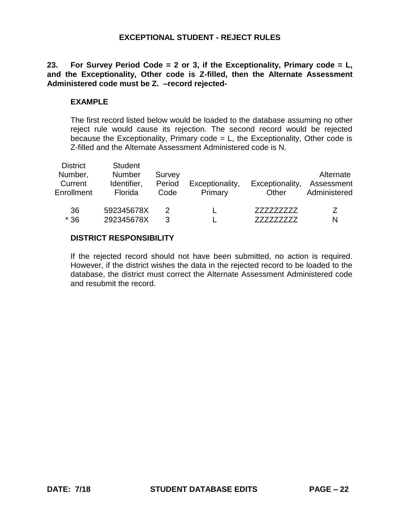# **23. For Survey Period Code = 2 or 3, if the Exceptionality, Primary code = L, and the Exceptionality, Other code is Z-filled, then the Alternate Assessment Administered code must be Z. –record rejected-**

#### **EXAMPLE**

 The first record listed below would be loaded to the database assuming no other reject rule would cause its rejection. The second record would be rejected because the Exceptionality, Primary code = L, the Exceptionality, Other code is Z-filled and the Alternate Assessment Administered code is N.

| <b>District</b><br>Number,<br>Current<br>Enrollment | <b>Student</b><br><b>Number</b><br>Identifier,<br>Florida | Survey<br>Period<br>Code | Exceptionality,<br>Primary | Exceptionality,<br>Other | Alternate<br>Assessment<br>Administered |
|-----------------------------------------------------|-----------------------------------------------------------|--------------------------|----------------------------|--------------------------|-----------------------------------------|
| 36<br>$*36$                                         | 592345678X<br>292345678X                                  | 2<br>3                   |                            | 777777777                | 7<br>N                                  |

#### **DISTRICT RESPONSIBILITY**

 If the rejected record should not have been submitted, no action is required. However, if the district wishes the data in the rejected record to be loaded to the database, the district must correct the Alternate Assessment Administered code and resubmit the record.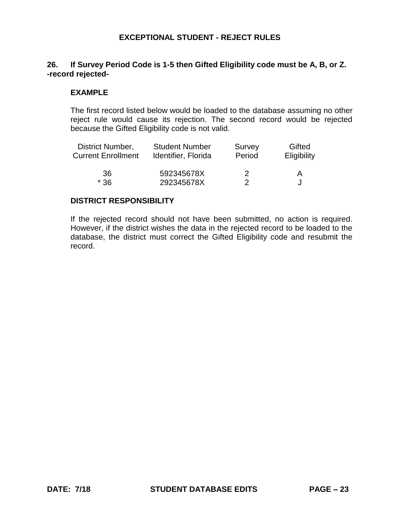# **26. If Survey Period Code is 1-5 then Gifted Eligibility code must be A, B, or Z. -record rejected-**

## **EXAMPLE**

 The first record listed below would be loaded to the database assuming no other reject rule would cause its rejection. The second record would be rejected because the Gifted Eligibility code is not valid.

| <b>District Number,</b>   | <b>Student Number</b> | Survey | Gifted      |
|---------------------------|-----------------------|--------|-------------|
| <b>Current Enrollment</b> | Identifier, Florida   | Period | Eligibility |
| 36                        | 592345678X            | 2      | A           |
| $*36$                     | 292345678X            |        |             |

#### **DISTRICT RESPONSIBILITY**

 If the rejected record should not have been submitted, no action is required. However, if the district wishes the data in the rejected record to be loaded to the database, the district must correct the Gifted Eligibility code and resubmit the record.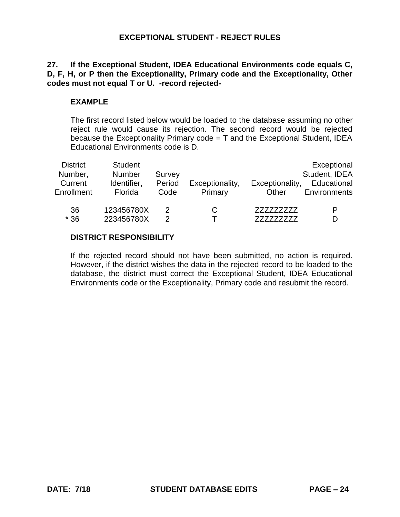# **27. If the Exceptional Student, IDEA Educational Environments code equals C, D, F, H, or P then the Exceptionality, Primary code and the Exceptionality, Other codes must not equal T or U. -record rejected-**

# **EXAMPLE**

The first record listed below would be loaded to the database assuming no other reject rule would cause its rejection. The second record would be rejected because the Exceptionality Primary code  $=$  T and the Exceptional Student, IDEA Educational Environments code is D.

| <b>District</b><br>Number,<br>Current<br>Enrollment | <b>Student</b><br><b>Number</b><br>Identifier,<br>Florida | Survey<br>Period<br>Code | Exceptionality,<br>Primary | Exceptionality,<br>Other | Exceptional<br>Student, IDEA<br>Educational<br><b>Environments</b> |
|-----------------------------------------------------|-----------------------------------------------------------|--------------------------|----------------------------|--------------------------|--------------------------------------------------------------------|
| 36                                                  | 123456780X                                                | 2                        | C                          | 777777777                | P                                                                  |
| $*36$                                               | 223456780X                                                | 2                        |                            |                          | D                                                                  |

# **DISTRICT RESPONSIBILITY**

If the rejected record should not have been submitted, no action is required. However, if the district wishes the data in the rejected record to be loaded to the database, the district must correct the Exceptional Student, IDEA Educational Environments code or the Exceptionality, Primary code and resubmit the record.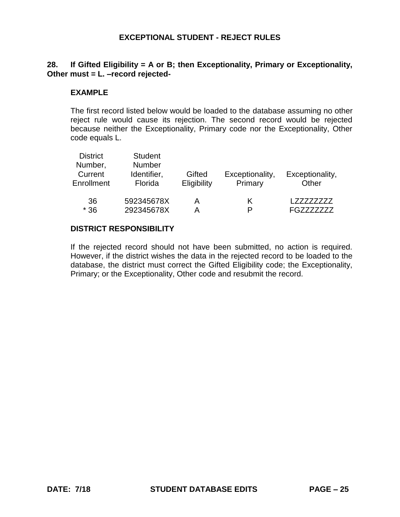# **28. If Gifted Eligibility = A or B; then Exceptionality, Primary or Exceptionality, Other must = L. –record rejected-**

## **EXAMPLE**

The first record listed below would be loaded to the database assuming no other reject rule would cause its rejection. The second record would be rejected because neither the Exceptionality, Primary code nor the Exceptionality, Other code equals L.

| <b>District</b><br>Number,<br>Current<br>Enrollment | <b>Student</b><br><b>Number</b><br>Identifier,<br>Florida | Gifted<br>Eligibility | Exceptionality,<br>Primary | Exceptionality,<br>Other |
|-----------------------------------------------------|-----------------------------------------------------------|-----------------------|----------------------------|--------------------------|
| 36                                                  | 592345678X                                                |                       | Κ                          | 7777777                  |
| $*36$                                               | 292345678X                                                |                       | P                          | <b>EG77</b>              |

#### **DISTRICT RESPONSIBILITY**

If the rejected record should not have been submitted, no action is required. However, if the district wishes the data in the rejected record to be loaded to the database, the district must correct the Gifted Eligibility code; the Exceptionality, Primary; or the Exceptionality, Other code and resubmit the record.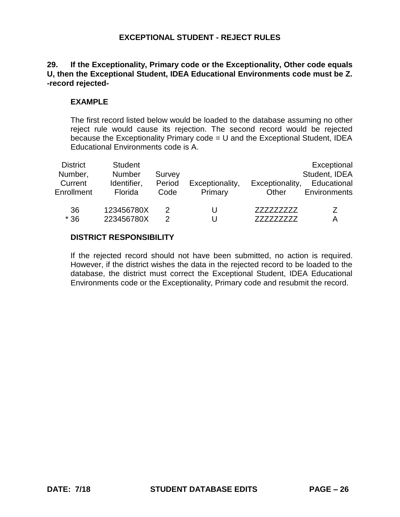# **29. If the Exceptionality, Primary code or the Exceptionality, Other code equals U, then the Exceptional Student, IDEA Educational Environments code must be Z. -record rejected-**

# **EXAMPLE**

The first record listed below would be loaded to the database assuming no other reject rule would cause its rejection. The second record would be rejected because the Exceptionality Primary code = U and the Exceptional Student, IDEA Educational Environments code is A.

| <b>District</b><br>Number,<br>Current<br>Enrollment | <b>Student</b><br>Number<br>Identifier,<br>Florida | Survey<br>Period<br>Code | Exceptionality,<br>Primary | Exceptionality,<br>Other | Exceptional<br>Student, IDEA<br>Educational<br><b>Environments</b> |
|-----------------------------------------------------|----------------------------------------------------|--------------------------|----------------------------|--------------------------|--------------------------------------------------------------------|
| 36<br>$*36$                                         | 123456780X<br>223456780X                           | 2<br>2                   |                            | 777777777                | 7<br>Α                                                             |

# **DISTRICT RESPONSIBILITY**

If the rejected record should not have been submitted, no action is required. However, if the district wishes the data in the rejected record to be loaded to the database, the district must correct the Exceptional Student, IDEA Educational Environments code or the Exceptionality, Primary code and resubmit the record.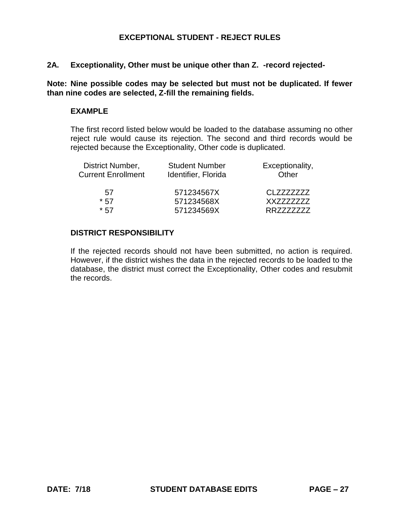#### **2A. Exceptionality, Other must be unique other than Z. -record rejected-**

 **Note: Nine possible codes may be selected but must not be duplicated. If fewer than nine codes are selected, Z-fill the remaining fields.** 

#### **EXAMPLE**

 The first record listed below would be loaded to the database assuming no other reject rule would cause its rejection. The second and third records would be rejected because the Exceptionality, Other code is duplicated.

| <b>Student Number</b><br>Identifier, Florida | Exceptionality,<br>Other |
|----------------------------------------------|--------------------------|
| 571234567X                                   | CI 7777777               |
| 571234568X                                   | XX7777777                |
| 571234569X                                   | RR7777777                |
|                                              |                          |

#### **DISTRICT RESPONSIBILITY**

 If the rejected records should not have been submitted, no action is required. However, if the district wishes the data in the rejected records to be loaded to the database, the district must correct the Exceptionality, Other codes and resubmit the records.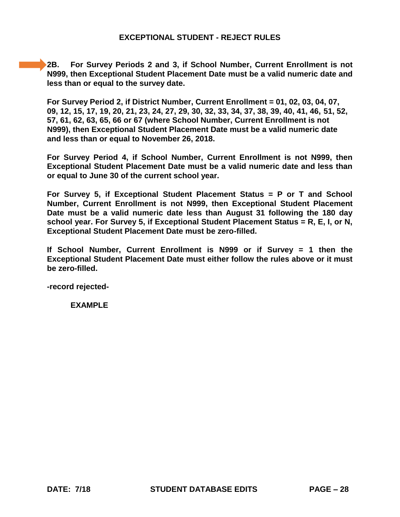**2B. For Survey Periods 2 and 3, if School Number, Current Enrollment is not N999, then Exceptional Student Placement Date must be a valid numeric date and less than or equal to the survey date.** 

**For Survey Period 2, if District Number, Current Enrollment = 01, 02, 03, 04, 07, 09, 12, 15, 17, 19, 20, 21, 23, 24, 27, 29, 30, 32, 33, 34, 37, 38, 39, 40, 41, 46, 51, 52, 57, 61, 62, 63, 65, 66 or 67 (where School Number, Current Enrollment is not N999), then Exceptional Student Placement Date must be a valid numeric date and less than or equal to November 26, 2018.** 

 **For Survey Period 4, if School Number, Current Enrollment is not N999, then Exceptional Student Placement Date must be a valid numeric date and less than or equal to June 30 of the current school year.** 

 **For Survey 5, if Exceptional Student Placement Status = P or T and School Number, Current Enrollment is not N999, then Exceptional Student Placement Date must be a valid numeric date less than August 31 following the 180 day school year. For Survey 5, if Exceptional Student Placement Status = R, E, I, or N, Exceptional Student Placement Date must be zero-filled.** 

 **If School Number, Current Enrollment is N999 or if Survey = 1 then the Exceptional Student Placement Date must either follow the rules above or it must be zero-filled.** 

**-record rejected-**

**EXAMPLE**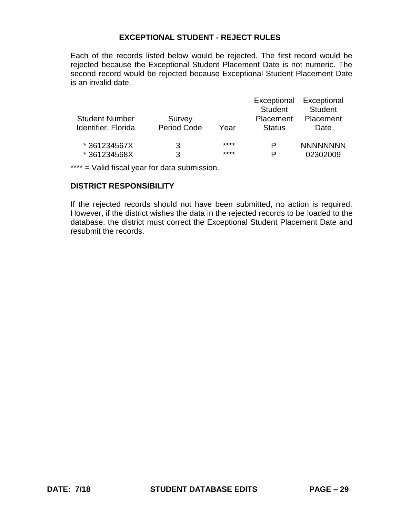Each of the records listed below would be rejected. The first record would be rejected because the Exceptional Student Placement Date is not numeric. The second record would be rejected because Exceptional Student Placement Date is an invalid date.

|                       |                    |      | Exceptional    | Exceptional     |
|-----------------------|--------------------|------|----------------|-----------------|
|                       |                    |      | <b>Student</b> | <b>Student</b>  |
| <b>Student Number</b> | Survey             |      | Placement      | Placement       |
| Identifier, Florida   | <b>Period Code</b> | Year | <b>Status</b>  | Date            |
| *361234567X           | 3                  | **** | P              | <b>NNNNNNNN</b> |
| *361234568X           | 3                  | **** | P              | 02302009        |

\*\*\*\* = Valid fiscal year for data submission.

#### **DISTRICT RESPONSIBILITY**

 If the rejected records should not have been submitted, no action is required. However, if the district wishes the data in the rejected records to be loaded to the database, the district must correct the Exceptional Student Placement Date and resubmit the records.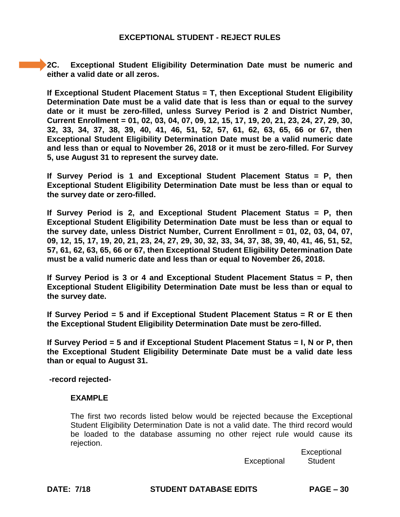**2C. Exceptional Student Eligibility Determination Date must be numeric and either a valid date or all zeros.** 

 **If Exceptional Student Placement Status = T, then Exceptional Student Eligibility Determination Date must be a valid date that is less than or equal to the survey date or it must be zero-filled, unless Survey Period is 2 and District Number, Current Enrollment = 01, 02, 03, 04, 07, 09, 12, 15, 17, 19, 20, 21, 23, 24, 27, 29, 30, Exceptional Student Eligibility Determination Date must be a valid numeric date and less than or equal to November 26, 2018 or it must be zero-filled. For Survey 32, 33, 34, 37, 38, 39, 40, 41, 46, 51, 52, 57, 61, 62, 63, 65, 66 or 67, then 5, use August 31 to represent the survey date.** 

 **If Survey Period is 1 and Exceptional Student Placement Status = P, then Exceptional Student Eligibility Determination Date must be less than or equal to the survey date or zero-filled.** 

 **If Survey Period is 2, and Exceptional Student Placement Status = P, then Exceptional Student Eligibility Determination Date must be less than or equal to the survey date, unless District Number, Current Enrollment = 01, 02, 03, 04, 07, 09, 12, 15, 17, 19, 20, 21, 23, 24, 27, 29, 30, 32, 33, 34, 37, 38, 39, 40, 41, 46, 51, 52, 57, 61, 62, 63, 65, 66 or 67, then Exceptional Student Eligibility Determination Date must be a valid numeric date and less than or equal to November 26, 2018.** 

 **If Survey Period is 3 or 4 and Exceptional Student Placement Status = P, then Exceptional Student Eligibility Determination Date must be less than or equal to the survey date.** 

 **If Survey Period = 5 and if Exceptional Student Placement Status = R or E then the Exceptional Student Eligibility Determination Date must be zero-filled.** 

 **If Survey Period = 5 and if Exceptional Student Placement Status = I, N or P, then the Exceptional Student Eligibility Determinate Date must be a valid date less than or equal to August 31.** 

**-record rejected-**

#### **EXAMPLE**

 The first two records listed below would be rejected because the Exceptional Student Eligibility Determination Date is not a valid date. The third record would be loaded to the database assuming no other reject rule would cause its rejection.

Exceptional Student

**Exceptional** 

**DATE: 7/18 STUDENT DATABASE EDITS PAGE – 30**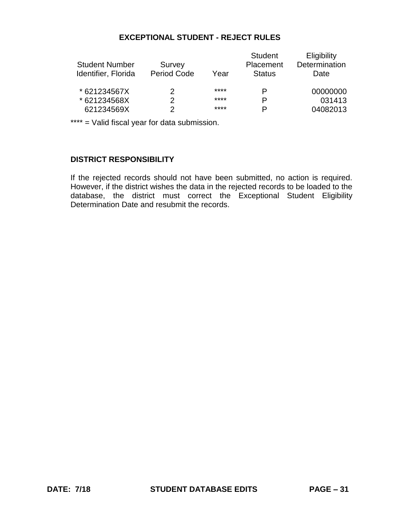| <b>Student Number</b><br>Identifier, Florida | Survey<br><b>Period Code</b> | Year | <b>Student</b><br>Placement<br><b>Status</b> | Eligibility<br>Determination<br>Date |
|----------------------------------------------|------------------------------|------|----------------------------------------------|--------------------------------------|
| * 621234567X                                 | 2                            | **** |                                              | 00000000                             |
| * 621234568X                                 | 2                            | **** | P                                            | 031413                               |
| 621234569X                                   | 2                            | **** | P                                            | 04082013                             |

\*\*\*\* = Valid fiscal year for data submission.

# **DISTRICT RESPONSIBILITY**

 If the rejected records should not have been submitted, no action is required. However, if the district wishes the data in the rejected records to be loaded to the database, the district must correct the Exceptional Student Eligibility Determination Date and resubmit the records.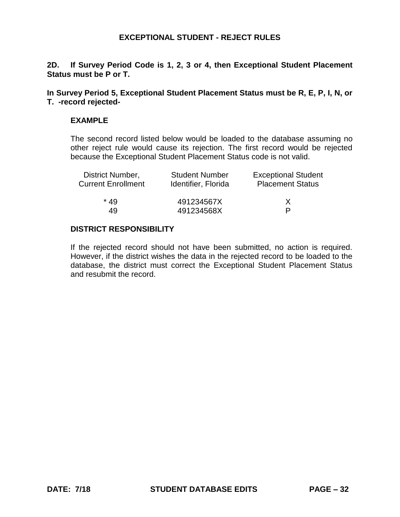**2D. If Survey Period Code is 1, 2, 3 or 4, then Exceptional Student Placement Status must be P or T.** 

 **In Survey Period 5, Exceptional Student Placement Status must be R, E, P, I, N, or T. -record rejected-**

#### **EXAMPLE**

 The second record listed below would be loaded to the database assuming no other reject rule would cause its rejection. The first record would be rejected because the Exceptional Student Placement Status code is not valid.

| District Number,          | <b>Student Number</b> | <b>Exceptional Student</b> |
|---------------------------|-----------------------|----------------------------|
| <b>Current Enrollment</b> | Identifier, Florida   | <b>Placement Status</b>    |
| * 49                      | 491234567X            | X                          |
| 49                        | 491234568X            | P                          |

#### **DISTRICT RESPONSIBILITY**

 If the rejected record should not have been submitted, no action is required. However, if the district wishes the data in the rejected record to be loaded to the database, the district must correct the Exceptional Student Placement Status and resubmit the record.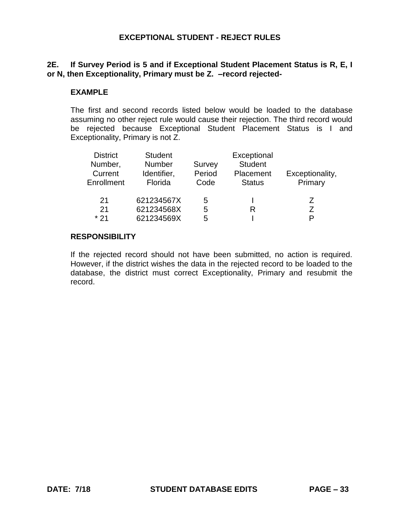# **2E. If Survey Period is 5 and if Exceptional Student Placement Status is R, E, I or N, then Exceptionality, Primary must be Z. –record rejected-**

#### **EXAMPLE**

 The first and second records listed below would be loaded to the database assuming no other reject rule would cause their rejection. The third record would be rejected because Exceptional Student Placement Status is I and Exceptionality, Primary is not Z.

| <b>District</b> | <b>Student</b> |        | Exceptional    |                 |
|-----------------|----------------|--------|----------------|-----------------|
| Number,         | <b>Number</b>  | Survey | <b>Student</b> |                 |
| Current         | Identifier,    | Period | Placement      | Exceptionality, |
| Enrollment      | Florida        | Code   | <b>Status</b>  | Primary         |
| 21              | 621234567X     | 5      |                | 7               |
| 21              | 621234568X     | 5      | R              | 7               |
| * 21            | 621234569X     | 5      |                | D               |

#### **RESPONSIBILITY**

 If the rejected record should not have been submitted, no action is required. However, if the district wishes the data in the rejected record to be loaded to the database, the district must correct Exceptionality, Primary and resubmit the record.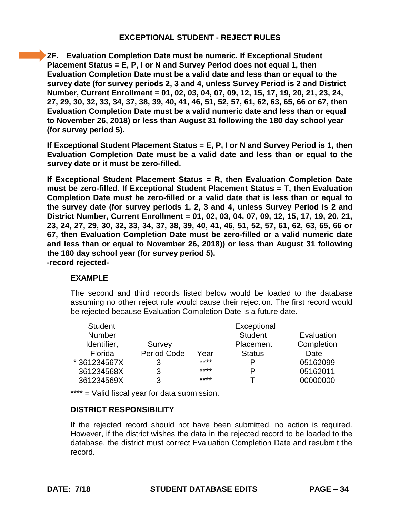**2F. Evaluation Completion Date must be numeric. If Exceptional Student Placement Status = E, P, I or N and Survey Period does not equal 1, then Evaluation Completion Date must be a valid date and less than or equal to the survey date (for survey periods 2, 3 and 4, unless Survey Period is 2 and District Number, Current Enrollment = 01, 02, 03, 04, 07, 09, 12, 15, 17, 19, 20, 21, 23, 24, 27, 29, 30, 32, 33, 34, 37, 38, 39, 40, 41, 46, 51, 52, 57, 61, 62, 63, 65, 66 or 67, then Evaluation Completion Date must be a valid numeric date and less than or equal to November 26, 2018) or less than August 31 following the 180 day school year (for survey period 5).** 

**If Exceptional Student Placement Status = E, P, I or N and Survey Period is 1, then Evaluation Completion Date must be a valid date and less than or equal to the survey date or it must be zero-filled.** 

**If Exceptional Student Placement Status = R, then Evaluation Completion Date must be zero-filled. If Exceptional Student Placement Status = T, then Evaluation Completion Date must be zero-filled or a valid date that is less than or equal to the survey date (for survey periods 1, 2, 3 and 4, unless Survey Period is 2 and District Number, Current Enrollment = 01, 02, 03, 04, 07, 09, 12, 15, 17, 19, 20, 21, 23, 24, 27, 29, 30, 32, 33, 34, 37, 38, 39, 40, 41, 46, 51, 52, 57, 61, 62, 63, 65, 66 or 67, then Evaluation Completion Date must be zero-filled or a valid numeric date and less than or equal to November 26, 2018)) or less than August 31 following the 180 day school year (for survey period 5). -record rejected-**

# **EXAMPLE**

The second and third records listed below would be loaded to the database assuming no other reject rule would cause their rejection. The first record would be rejected because Evaluation Completion Date is a future date.

| <b>Student</b> |                    |      | Exceptional    |            |
|----------------|--------------------|------|----------------|------------|
| <b>Number</b>  |                    |      | <b>Student</b> | Evaluation |
| Identifier,    | Survey             |      | Placement      | Completion |
| Florida        | <b>Period Code</b> | Year | <b>Status</b>  | Date       |
| *361234567X    | 3                  | **** | P              | 05162099   |
| 361234568X     | 3                  | **** | P              | 05162011   |
| 361234569X     | 3                  | **** |                | 00000000   |

\*\*\*\* = Valid fiscal year for data submission.

# **DISTRICT RESPONSIBILITY**

If the rejected record should not have been submitted, no action is required. However, if the district wishes the data in the rejected record to be loaded to the database, the district must correct Evaluation Completion Date and resubmit the record.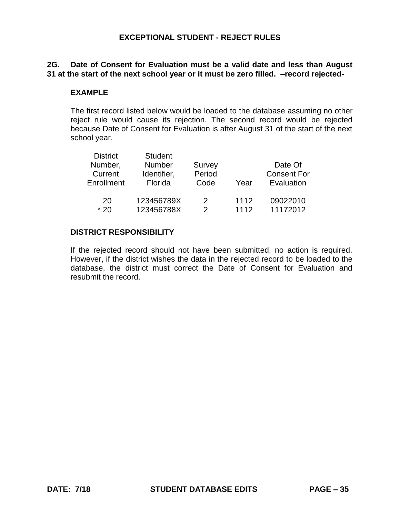# **2G. Date of Consent for Evaluation must be a valid date and less than August 31 at the start of the next school year or it must be zero filled. –record rejected-**

#### **EXAMPLE**

 The first record listed below would be loaded to the database assuming no other reject rule would cause its rejection. The second record would be rejected because Date of Consent for Evaluation is after August 31 of the start of the next school year.

| <b>District</b> | <b>Student</b> |        |      |                    |
|-----------------|----------------|--------|------|--------------------|
| Number,         | <b>Number</b>  | Survey |      | Date Of            |
| Current         | Identifier,    | Period |      | <b>Consent For</b> |
| Enrollment      | Florida        | Code   | Year | Evaluation         |
|                 |                |        |      |                    |
| 20              | 123456789X     | 2      | 1112 | 09022010           |
| $*20$           | 123456788X     | 2      | 1112 | 11172012           |

#### **DISTRICT RESPONSIBILITY**

 If the rejected record should not have been submitted, no action is required. However, if the district wishes the data in the rejected record to be loaded to the database, the district must correct the Date of Consent for Evaluation and resubmit the record.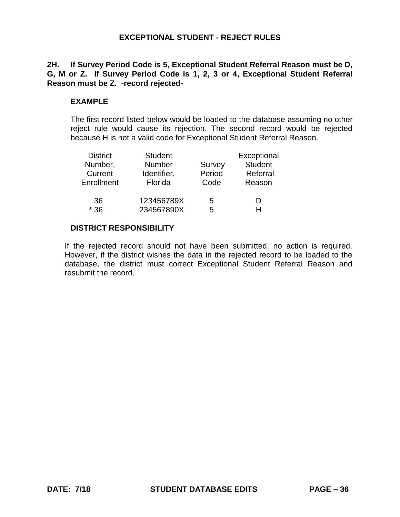# **2H. If Survey Period Code is 5, Exceptional Student Referral Reason must be D, G, M or Z. If Survey Period Code is 1, 2, 3 or 4, Exceptional Student Referral Reason must be Z. -record rejected-**

### **EXAMPLE**

 The first record listed below would be loaded to the database assuming no other reject rule would cause its rejection. The second record would be rejected because H is not a valid code for Exceptional Student Referral Reason.

| <b>District</b> | <b>Student</b> |        | Exceptional    |
|-----------------|----------------|--------|----------------|
| Number,         | Number         | Survey | <b>Student</b> |
| Current         | Identifier,    | Period | Referral       |
| Enrollment      | Florida        | Code   | Reason         |
| 36              | 123456789X     | 5      | D              |
| $*36$           | 234567890X     | 5      | н              |

#### **DISTRICT RESPONSIBILITY**

 If the rejected record should not have been submitted, no action is required. However, if the district wishes the data in the rejected record to be loaded to the database, the district must correct Exceptional Student Referral Reason and resubmit the record.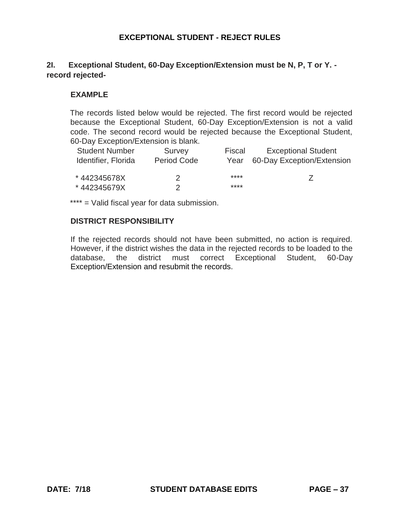# **2I. Exceptional Student, 60-Day Exception/Extension must be N, P, T or Y. record rejected-**

## **EXAMPLE**

 The records listed below would be rejected. The first record would be rejected because the Exceptional Student, 60-Day Exception/Extension is not a valid code. The second record would be rejected because the Exceptional Student, 60-Day Exception/Extension is blank.

| <b>Student Number</b> | Survey                      | Fiscal | <b>Exceptional Student</b> |
|-----------------------|-----------------------------|--------|----------------------------|
| Identifier, Florida   | <b>Period Code</b>          | Year   | 60-Day Exception/Extension |
|                       |                             |        |                            |
| *442345678X           | $\mathcal{D}_{\mathcal{A}}$ | ****   |                            |
| *442345679X           |                             | ****   |                            |

\*\*\*\* = Valid fiscal year for data submission.

#### **DISTRICT RESPONSIBILITY**

 If the rejected records should not have been submitted, no action is required. However, if the district wishes the data in the rejected records to be loaded to the database, the district must correct Exceptional Student, 60-Day Exception/Extension and resubmit the records.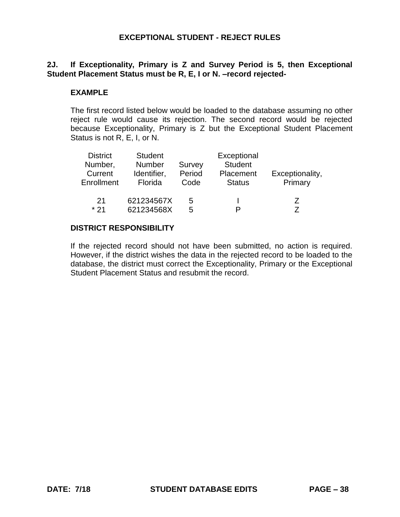# **2J. If Exceptionality, Primary is Z and Survey Period is 5, then Exceptional Student Placement Status must be R, E, I or N. –record rejected-**

## **EXAMPLE**

 The first record listed below would be loaded to the database assuming no other reject rule would cause its rejection. The second record would be rejected because Exceptionality, Primary is Z but the Exceptional Student Placement Status is not R, E, I, or N.

| <b>District</b> | <b>Student</b> |        | Exceptional    |                 |
|-----------------|----------------|--------|----------------|-----------------|
| Number,         | <b>Number</b>  | Survey | <b>Student</b> |                 |
| Current         | Identifier,    | Period | Placement      | Exceptionality, |
| Enrollment      | Florida        | Code   | <b>Status</b>  | Primary         |
| 21              | 621234567X     | 5      |                | $\prime$        |
| * 21            | 621234568X     | 5      | P              |                 |

#### **DISTRICT RESPONSIBILITY**

 If the rejected record should not have been submitted, no action is required. However, if the district wishes the data in the rejected record to be loaded to the database, the district must correct the Exceptionality, Primary or the Exceptional Student Placement Status and resubmit the record.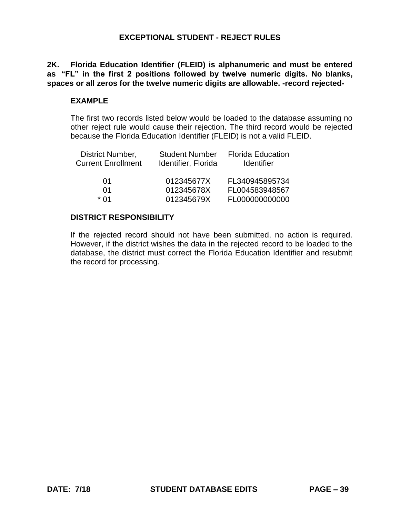**2K. Florida Education Identifier (FLEID) is alphanumeric and must be entered as "FL" in the first 2 positions followed by twelve numeric digits. No blanks, spaces or all zeros for the twelve numeric digits are allowable. -record rejected-**

## **EXAMPLE**

 The first two records listed below would be loaded to the database assuming no other reject rule would cause their rejection. The third record would be rejected because the Florida Education Identifier (FLEID) is not a valid FLEID.

| District Number,<br><b>Current Enrollment</b> | <b>Student Number</b><br>Identifier, Florida | <b>Florida Education</b><br><b>Identifier</b> |
|-----------------------------------------------|----------------------------------------------|-----------------------------------------------|
| 01                                            | 012345677X                                   | FL340945895734                                |
| 01                                            | 012345678X                                   | FL004583948567                                |
| * በ1                                          | 012345679X                                   | FL000000000000                                |

# **DISTRICT RESPONSIBILITY**

 If the rejected record should not have been submitted, no action is required. However, if the district wishes the data in the rejected record to be loaded to the database, the district must correct the Florida Education Identifier and resubmit the record for processing.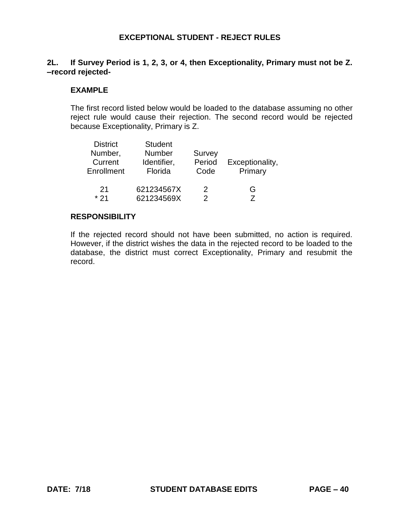# **2L. If Survey Period is 1, 2, 3, or 4, then Exceptionality, Primary must not be Z. –record rejected-**

#### **EXAMPLE**

 The first record listed below would be loaded to the database assuming no other reject rule would cause their rejection. The second record would be rejected because Exceptionality, Primary is Z.

| <b>District</b><br>Number,<br>Current<br>Enrollment | <b>Student</b><br>Number<br>Identifier,<br>Florida | Survey<br>Period<br>Code | Exceptionality,<br>Primary |
|-----------------------------------------------------|----------------------------------------------------|--------------------------|----------------------------|
| 21                                                  | 621234567X                                         | 2                        | G                          |
| $*21$                                               | 621234569X                                         | 2                        |                            |

### **RESPONSIBILITY**

 If the rejected record should not have been submitted, no action is required. However, if the district wishes the data in the rejected record to be loaded to the database, the district must correct Exceptionality, Primary and resubmit the record.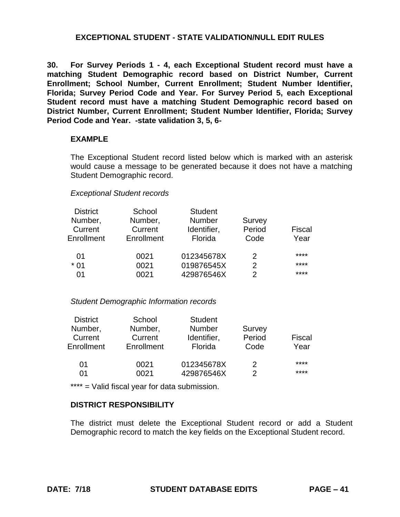**30. For Survey Periods 1 - 4, each Exceptional Student record must have a Enrollment; School Number, Current Enrollment; Student Number Identifier, Florida; Survey Period Code and Year. For Survey Period 5, each Exceptional Student record must have a matching Student Demographic record based on District Number, Current Enrollment; Student Number Identifier, Florida; Survey matching Student Demographic record based on District Number, Current Period Code and Year. -state validation 3, 5, 6-**

#### **EXAMPLE**

 The Exceptional Student record listed below which is marked with an asterisk would cause a message to be generated because it does not have a matching Student Demographic record.

#### *Exceptional Student records*

| <b>District</b> | School     | <b>Student</b> |               |               |
|-----------------|------------|----------------|---------------|---------------|
| Number,         | Number,    | <b>Number</b>  | Survey        |               |
| Current         | Current    | Identifier,    | Period        | <b>Fiscal</b> |
| Enrollment      | Enrollment | Florida        | Code          | Year          |
| 01              | 0021       | 012345678X     | $\mathcal{P}$ | ****          |
| $*01$           | 0021       | 019876545X     | 2             | ****          |
| 01              | 0021       | 429876546X     | 2             | ****          |

#### *Student Demographic Information records*

| <b>District</b> | School     | <b>Student</b> |        |        |
|-----------------|------------|----------------|--------|--------|
| Number,         | Number,    | <b>Number</b>  | Survey |        |
| Current         | Current    | Identifier,    | Period | Fiscal |
| Enrollment      | Enrollment | Florida        | Code   | Year   |
| 01              | 0021       | 012345678X     | 2      | ****   |
| 01              | 0021       | 429876546X     |        | ****   |

\*\*\*\* = Valid fiscal year for data submission.

#### **DISTRICT RESPONSIBILITY**

 The district must delete the Exceptional Student record or add a Student Demographic record to match the key fields on the Exceptional Student record.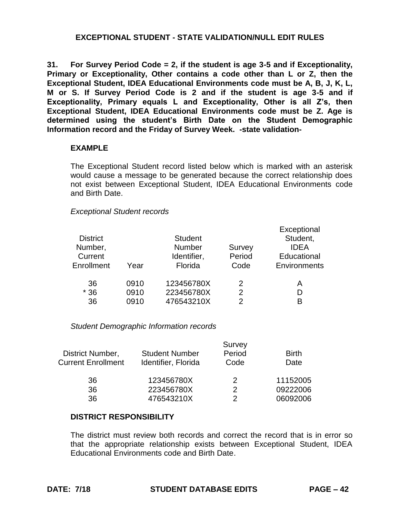**31. For Survey Period Code = 2, if the student is age 3-5 and if Exceptionality, Primary or Exceptionality, Other contains a code other than L or Z, then the M or S. If Survey Period Code is 2 and if the student is age 3-5 and if Exceptionality, Primary equals L and Exceptionality, Other is all Z's, then Exceptional Student, IDEA Educational Environments code must be Z. Age is determined using the student's Birth Date on the Student Demographic Exceptional Student, IDEA Educational Environments code must be A, B, J, K, L, Information record and the Friday of Survey Week. -state validation-**

#### **EXAMPLE**

 The Exceptional Student record listed below which is marked with an asterisk would cause a message to be generated because the correct relationship does not exist between Exceptional Student, IDEA Educational Environments code and Birth Date.

#### *Exceptional Student records*

| <b>District</b><br>Number,<br>Current<br>Enrollment | Year | <b>Student</b><br><b>Number</b><br>Identifier,<br>Florida | Survey<br>Period<br>Code | Exceptional<br>Student,<br><b>IDEA</b><br>Educational<br>Environments |
|-----------------------------------------------------|------|-----------------------------------------------------------|--------------------------|-----------------------------------------------------------------------|
| 36                                                  | 0910 | 123456780X                                                | 2                        | А                                                                     |
| $*36$                                               | 0910 | 223456780X                                                | 2                        | D                                                                     |
| 36                                                  | 0910 | 476543210X                                                | 2                        | R                                                                     |
|                                                     |      |                                                           |                          |                                                                       |

#### *Student Demographic Information records*

|                           |                       | Survey |              |
|---------------------------|-----------------------|--------|--------------|
| District Number,          | <b>Student Number</b> | Period | <b>Birth</b> |
| <b>Current Enrollment</b> | Identifier, Florida   | Code   | Date         |
| 36                        | 123456780X            | 2      | 11152005     |
| 36                        | 223456780X            | 2      | 09222006     |
| 36                        | 476543210X            | っ      | 06092006     |

#### **DISTRICT RESPONSIBILITY**

 The district must review both records and correct the record that is in error so that the appropriate relationship exists between Exceptional Student, IDEA Educational Environments code and Birth Date.

Exceptional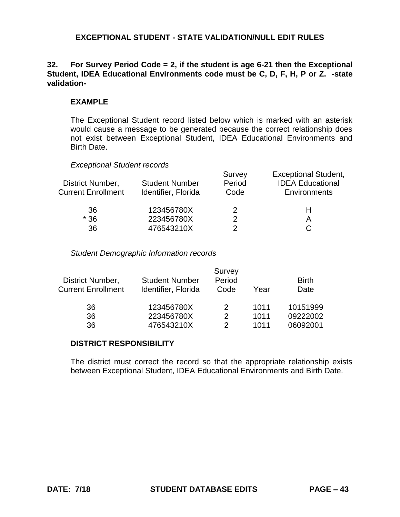# **32. For Survey Period Code = 2, if the student is age 6-21 then the Exceptional Student, IDEA Educational Environments code must be C, D, F, H, P or Z. -state validation-**

# **EXAMPLE**

The Exceptional Student record listed below which is marked with an asterisk would cause a message to be generated because the correct relationship does not exist between Exceptional Student, IDEA Educational Environments and Birth Date.

#### *Exceptional Student records*

| District Number,<br><b>Current Enrollment</b> | <b>Student Number</b><br>Identifier, Florida | Survey<br>Period<br>Code | <b>Exceptional Student,</b><br><b>IDEA Educational</b><br>Environments |
|-----------------------------------------------|----------------------------------------------|--------------------------|------------------------------------------------------------------------|
| 36                                            | 123456780X                                   |                          | н                                                                      |
| $*36$                                         | 223456780X                                   |                          |                                                                        |
| 36                                            | 476543210X                                   |                          |                                                                        |

#### *Student Demographic Information records*

| District Number,<br><b>Current Enrollment</b> | <b>Student Number</b><br>Identifier, Florida | Survey<br>Period<br>Code | Year | <b>Birth</b><br>Date |
|-----------------------------------------------|----------------------------------------------|--------------------------|------|----------------------|
| 36                                            | 123456780X                                   | 2                        | 1011 | 10151999             |
| 36                                            | 223456780X                                   | 2                        | 1011 | 09222002             |
| 36                                            | 476543210X                                   | $\mathcal{P}$            | 1011 | 06092001             |

#### **DISTRICT RESPONSIBILITY**

The district must correct the record so that the appropriate relationship exists between Exceptional Student, IDEA Educational Environments and Birth Date.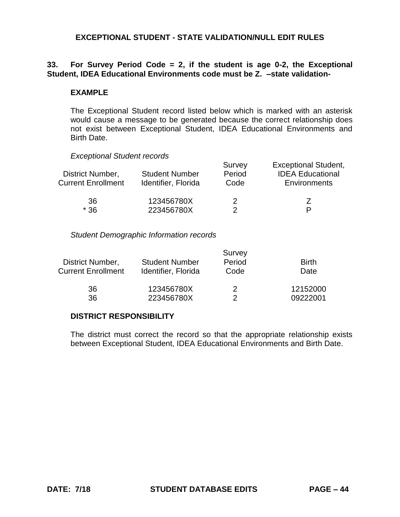# **33. For Survey Period Code = 2, if the student is age 0-2, the Exceptional Student, IDEA Educational Environments code must be Z. –state validation-**

#### **EXAMPLE**

The Exceptional Student record listed below which is marked with an asterisk would cause a message to be generated because the correct relationship does not exist between Exceptional Student, IDEA Educational Environments and Birth Date.

*Exceptional Student records* 

| District Number,<br><b>Current Enrollment</b> | <b>Student Number</b><br>Identifier, Florida | Survey<br>Period<br>Code | <b>Exceptional Student,</b><br><b>IDEA Educational</b><br>Environments |
|-----------------------------------------------|----------------------------------------------|--------------------------|------------------------------------------------------------------------|
| 36                                            | 123456780X                                   | 2                        |                                                                        |
| $*36$                                         | 223456780X                                   |                          | D                                                                      |

*Student Demographic Information records* 

|                           |                       | Survey |              |
|---------------------------|-----------------------|--------|--------------|
| District Number,          | <b>Student Number</b> | Period | <b>Birth</b> |
| <b>Current Enrollment</b> | Identifier, Florida   | Code   | Date         |
| 36                        | 123456780X            | 2      | 12152000     |
| 36                        | 223456780X            |        | 09222001     |

## **DISTRICT RESPONSIBILITY**

The district must correct the record so that the appropriate relationship exists between Exceptional Student, IDEA Educational Environments and Birth Date.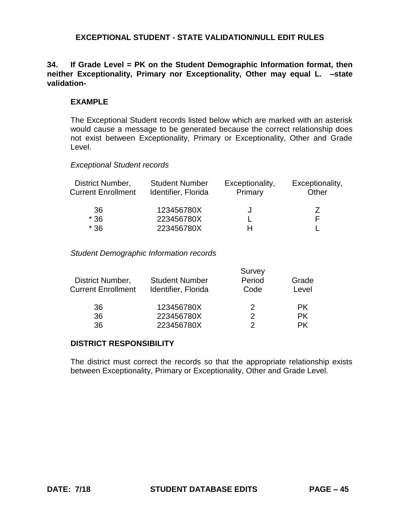# **34. If Grade Level = PK on the Student Demographic Information format, then neither Exceptionality, Primary nor Exceptionality, Other may equal L. –state validation-**

# **EXAMPLE**

 The Exceptional Student records listed below which are marked with an asterisk would cause a message to be generated because the correct relationship does not exist between Exceptionality, Primary or Exceptionality, Other and Grade Level.

#### *Exceptional Student records*

| District Number,<br><b>Current Enrollment</b> | <b>Student Number</b><br>Identifier, Florida | Exceptionality,<br>Primary | Exceptionality,<br>Other |
|-----------------------------------------------|----------------------------------------------|----------------------------|--------------------------|
| 36                                            | 123456780X                                   |                            |                          |
| $*36$                                         | 223456780X                                   |                            | F                        |
| $*36$                                         | 223456780X                                   |                            |                          |

#### *Student Demographic Information records*

|                           |                       | Survey |       |
|---------------------------|-----------------------|--------|-------|
| District Number,          | <b>Student Number</b> | Period | Grade |
| <b>Current Enrollment</b> | Identifier, Florida   | Code   | Level |
| 36                        | 123456780X            | 2      | PK.   |
| 36                        | 223456780X            | 2      | PK.   |
| 36                        | 223456780X            |        | РK    |

#### **DISTRICT RESPONSIBILITY**

 The district must correct the records so that the appropriate relationship exists between Exceptionality, Primary or Exceptionality, Other and Grade Level.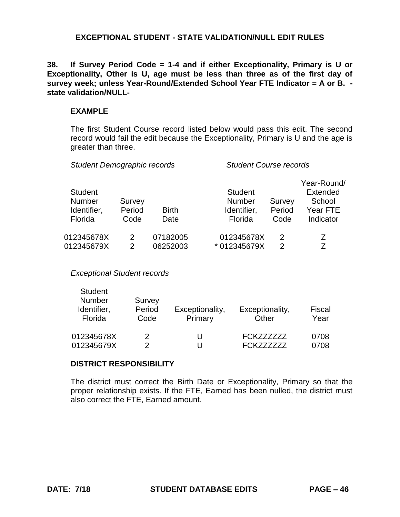**38. If Survey Period Code = 1-4 and if either Exceptionality, Primary is U or Exceptionality, Other is U, age must be less than three as of the first day of survey week; unless Year-Round/Extended School Year FTE Indicator = A or B. state validation/NULL-**

#### **EXAMPLE**

The first Student Course record listed below would pass this edit. The second record would fail the edit because the Exceptionality, Primary is U and the age is greater than three.

| Survey<br>Period<br>Code | <b>Birth</b><br>Date | <b>Student</b><br><b>Number</b><br>Identifier,<br>Florida | Survey<br>Period<br>Code | Year-Round/<br><b>Extended</b><br>School<br>Year FTE<br>Indicator |
|--------------------------|----------------------|-----------------------------------------------------------|--------------------------|-------------------------------------------------------------------|
| 2<br>2                   | 07182005<br>06252003 | 012345678X<br>* 012345679X                                | 2<br>2                   | Z<br>7                                                            |
|                          |                      |                                                           |                          |                                                                   |

*Student Demographic records Student Course records* 

*Exceptional Student records* 

| <b>Student</b><br>Number<br>Identifier,<br>Florida | Survey<br>Period<br>Code | Exceptionality,<br>Primary | Exceptionality,<br>Other | Fiscal<br>Year |
|----------------------------------------------------|--------------------------|----------------------------|--------------------------|----------------|
| 012345678X                                         | 2                        | U                          | FCK777777                | 0708           |
| 012345679X                                         |                          | U                          | <b>FCK777777</b>         | 0708           |

# **DISTRICT RESPONSIBILITY**

The district must correct the Birth Date or Exceptionality, Primary so that the proper relationship exists. If the FTE, Earned has been nulled, the district must also correct the FTE, Earned amount.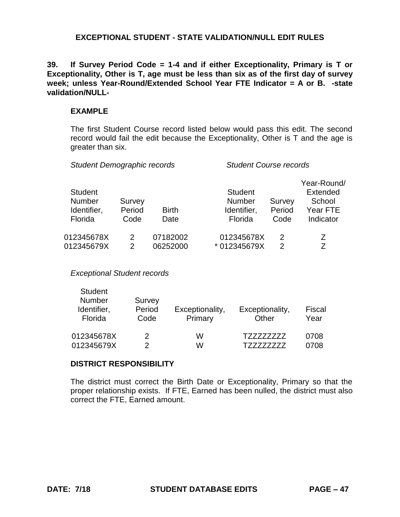**39. If Survey Period Code = 1-4 and if either Exceptionality, Primary is T or Exceptionality, Other is T, age must be less than six as of the first day of survey week; unless Year-Round/Extended School Year FTE Indicator = A or B. -state validation/NULL-**

#### **EXAMPLE**

The first Student Course record listed below would pass this edit. The second record would fail the edit because the Exceptionality, Other is T and the age is greater than six.

| <b>Student</b><br><b>Number</b><br>Identifier,<br>Florida | Survey<br>Period<br>Code | <b>Birth</b><br>Date | <b>Student</b><br><b>Number</b><br>Identifier,<br>Florida | Survey<br>Period<br>Code | Year-Round/<br><b>Extended</b><br>School<br>Year FTE<br>Indicator |
|-----------------------------------------------------------|--------------------------|----------------------|-----------------------------------------------------------|--------------------------|-------------------------------------------------------------------|
| 012345678X                                                | 2                        | 07182002             | 012345678X                                                | 2                        | 7                                                                 |
| 012345679X                                                | 2                        | 06252000             | * 012345679X                                              | 2                        | 7                                                                 |
|                                                           |                          |                      |                                                           |                          |                                                                   |

*Student Demographic records Student Course records* 

*Exceptional Student records* 

| <b>Student</b><br><b>Number</b><br>Identifier,<br>Florida | Survey<br>Period<br>Code | Exceptionality,<br>Primary | Exceptionality,<br>Other | Fiscal<br>Year |
|-----------------------------------------------------------|--------------------------|----------------------------|--------------------------|----------------|
| 012345678X                                                | 2                        | W                          |                          | 0708           |
| 012345679X                                                |                          | w                          |                          | 0708           |

# **DISTRICT RESPONSIBILITY**

 The district must correct the Birth Date or Exceptionality, Primary so that the proper relationship exists. If FTE, Earned has been nulled, the district must also correct the FTE, Earned amount.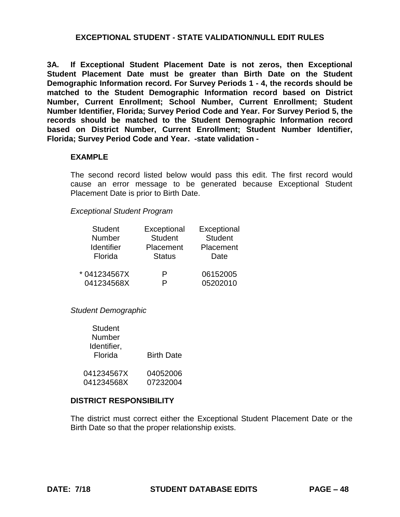**3A. If Exceptional Student Placement Date is not zeros, then Exceptional Student Placement Date must be greater than Birth Date on the Student Demographic Information record. For Survey Periods 1 - 4, the records should be Number, Current Enrollment; School Number, Current Enrollment; Student Number Identifier, Florida; Survey Period Code and Year. For Survey Period 5, the records should be matched to the Student Demographic Information record based on District Number, Current Enrollment; Student Number Identifier, matched to the Student Demographic Information record based on District Florida; Survey Period Code and Year. -state validation -**

#### **EXAMPLE**

 The second record listed below would pass this edit. The first record would cause an error message to be generated because Exceptional Student Placement Date is prior to Birth Date.

#### *Exceptional Student Program*

| <b>Student</b>    | Exceptional    | Exceptional    |
|-------------------|----------------|----------------|
| Number            | <b>Student</b> | <b>Student</b> |
| <b>Identifier</b> | Placement      | Placement      |
| Florida           | <b>Status</b>  | Date           |
| * 041234567X      | P              | 06152005       |
| 041234568X        |                | 05202010       |

*Student Demographic* 

| <b>Student</b> |                   |
|----------------|-------------------|
| Number         |                   |
| Identifier,    |                   |
| Florida        | <b>Birth Date</b> |
|                |                   |
| 041234567X     | 04052006          |
| 041234568X     | 07232004          |

#### **DISTRICT RESPONSIBILITY**

 The district must correct either the Exceptional Student Placement Date or the Birth Date so that the proper relationship exists.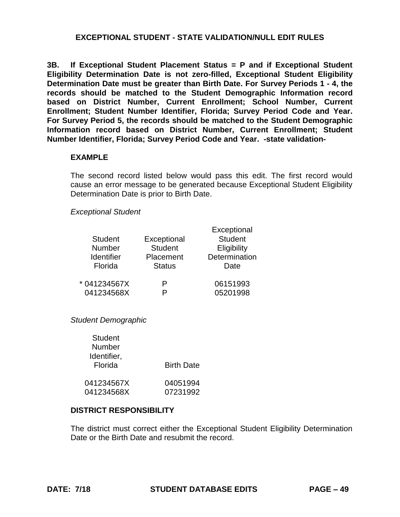**3B. If Exceptional Student Placement Status = P and if Exceptional Student Eligibility Determination Date is not zero-filled, Exceptional Student Eligibility Determination Date must be greater than Birth Date. For Survey Periods 1 - 4, the records should be matched to the Student Demographic Information record based on District Number, Current Enrollment; School Number, Current Enrollment; Student Number Identifier, Florida; Survey Period Code and Year. For Survey Period 5, the records should be matched to the Student Demographic Information record based on District Number, Current Enrollment; Student Number Identifier, Florida; Survey Period Code and Year. -state validation-**

#### **EXAMPLE**

The second record listed below would pass this edit. The first record would cause an error message to be generated because Exceptional Student Eligibility Determination Date is prior to Birth Date.

#### *Exceptional Student*

| <b>Student</b><br><b>Number</b><br><b>Identifier</b><br>Florida | Exceptional<br><b>Student</b><br>Placement<br><b>Status</b> | Exceptional<br><b>Student</b><br>Eligibility<br>Determination<br>Date |  |
|-----------------------------------------------------------------|-------------------------------------------------------------|-----------------------------------------------------------------------|--|
| * 041234567X<br>041234568X                                      | P                                                           | 06151993<br>05201998                                                  |  |

*Student Demographic* 

| <b>Student</b> |                   |
|----------------|-------------------|
| Number         |                   |
| Identifier,    |                   |
| Florida        | <b>Birth Date</b> |
|                |                   |
| 041234567X     | 04051994          |
| 041234568X     | 07231992          |

#### **DISTRICT RESPONSIBILITY**

The district must correct either the Exceptional Student Eligibility Determination Date or the Birth Date and resubmit the record.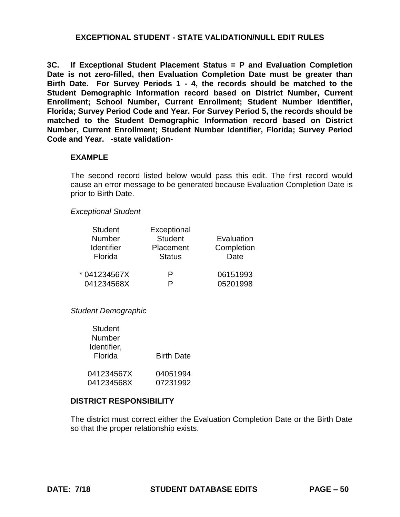**3C. If Exceptional Student Placement Status = P and Evaluation Completion**  Date is not zero-filled, then Evaluation Completion Date must be greater than  **Birth Date. For Survey Periods 1 - 4, the records should be matched to the Enrollment; School Number, Current Enrollment; Student Number Identifier, Florida; Survey Period Code and Year. For Survey Period 5, the records should be matched to the Student Demographic Information record based on District Number, Current Enrollment; Student Number Identifier, Florida; Survey Period Code and Year. -state validation-Student Demographic Information record based on District Number, Current** 

#### **EXAMPLE**

 The second record listed below would pass this edit. The first record would cause an error message to be generated because Evaluation Completion Date is prior to Birth Date.

#### *Exceptional Student*

| <b>Student</b>    | Exceptional    |            |
|-------------------|----------------|------------|
| <b>Number</b>     | <b>Student</b> | Evaluation |
| <b>Identifier</b> | Placement      | Completion |
| Florida           | <b>Status</b>  | Date       |
| * 041234567X      | P              | 06151993   |
| 041234568X        | D              | 05201998   |

*Student Demographic* 

| Student     |                   |
|-------------|-------------------|
| Number      |                   |
| Identifier, |                   |
| Florida     | <b>Birth Date</b> |
|             |                   |
| 041234567X  | 04051994          |
| 041234568X  | 07231992          |

#### **DISTRICT RESPONSIBILITY**

 The district must correct either the Evaluation Completion Date or the Birth Date so that the proper relationship exists.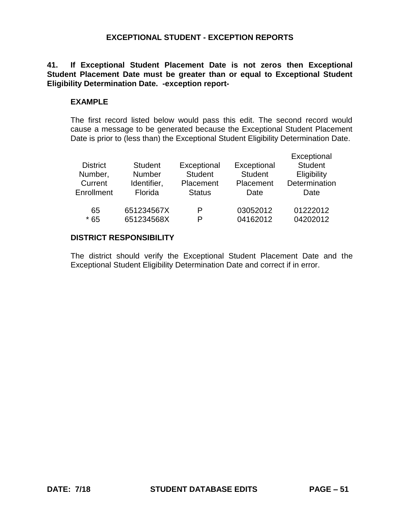# **41. If Exceptional Student Placement Date is not zeros then Exceptional Student Placement Date must be greater than or equal to Exceptional Student Eligibility Determination Date. -exception report-**

#### **EXAMPLE**

The first record listed below would pass this edit. The second record would cause a message to be generated because the Exceptional Student Placement Date is prior to (less than) the Exceptional Student Eligibility Determination Date.

| <b>District</b><br>Number,<br>Current<br>Enrollment | <b>Student</b><br><b>Number</b><br>Identifier,<br>Florida | Exceptional<br><b>Student</b><br>Placement<br><b>Status</b> | Exceptional<br><b>Student</b><br>Placement<br>Date | Exceptional<br><b>Student</b><br>Eligibility<br>Determination<br>Date |
|-----------------------------------------------------|-----------------------------------------------------------|-------------------------------------------------------------|----------------------------------------------------|-----------------------------------------------------------------------|
| 65                                                  | 651234567X                                                | P                                                           | 03052012                                           | 01222012                                                              |
| $*65$                                               | 651234568X                                                | P                                                           | 04162012                                           | 04202012                                                              |

# **DISTRICT RESPONSIBILITY**

The district should verify the Exceptional Student Placement Date and the Exceptional Student Eligibility Determination Date and correct if in error.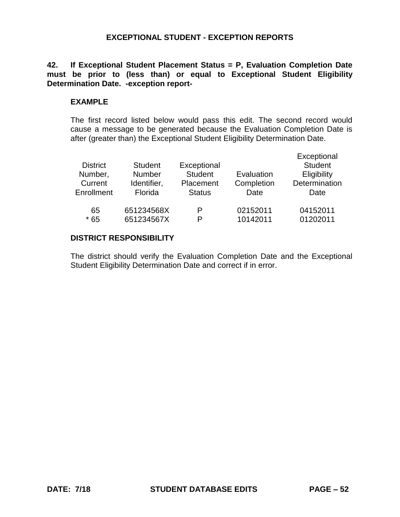**42. If Exceptional Student Placement Status = P, Evaluation Completion Date must be prior to (less than) or equal to Exceptional Student Eligibility Determination Date. -exception report-**

#### **EXAMPLE**

 The first record listed below would pass this edit. The second record would cause a message to be generated because the Evaluation Completion Date is after (greater than) the Exceptional Student Eligibility Determination Date.

| <b>District</b><br>Number,<br>Current<br>Enrollment | <b>Student</b><br><b>Number</b><br>Identifier,<br>Florida | Exceptional<br><b>Student</b><br>Placement<br><b>Status</b> | Evaluation<br>Completion<br>Date | Exceptional<br><b>Student</b><br>Eligibility<br>Determination<br>Date |
|-----------------------------------------------------|-----------------------------------------------------------|-------------------------------------------------------------|----------------------------------|-----------------------------------------------------------------------|
| 65                                                  | 651234568X                                                | P                                                           | 02152011                         | 04152011                                                              |
| $*65$                                               | 651234567X                                                | P                                                           | 10142011                         | 01202011                                                              |

# **DISTRICT RESPONSIBILITY**

 The district should verify the Evaluation Completion Date and the Exceptional Student Eligibility Determination Date and correct if in error.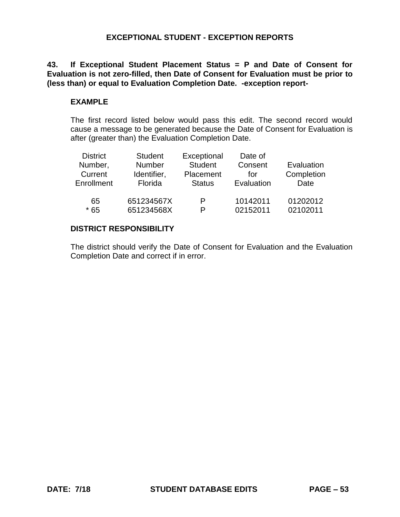**43. If Exceptional Student Placement Status = P and Date of Consent for Evaluation is not zero-filled, then Date of Consent for Evaluation must be prior to (less than) or equal to Evaluation Completion Date. -exception report-**

# **EXAMPLE**

 The first record listed below would pass this edit. The second record would cause a message to be generated because the Date of Consent for Evaluation is after (greater than) the Evaluation Completion Date.

| <b>District</b><br>Number,<br>Current<br>Enrollment | <b>Student</b><br>Number<br>Identifier,<br>Florida | Exceptional<br><b>Student</b><br>Placement<br><b>Status</b> | Date of<br>Consent<br>for<br>Evaluation | Evaluation<br>Completion<br>Date |
|-----------------------------------------------------|----------------------------------------------------|-------------------------------------------------------------|-----------------------------------------|----------------------------------|
| 65                                                  | 651234567X                                         | P                                                           | 10142011                                | 01202012                         |
| $*65$                                               | 651234568X                                         | P                                                           | 02152011                                | 02102011                         |

# **DISTRICT RESPONSIBILITY**

The district should verify the Date of Consent for Evaluation and the Evaluation Completion Date and correct if in error.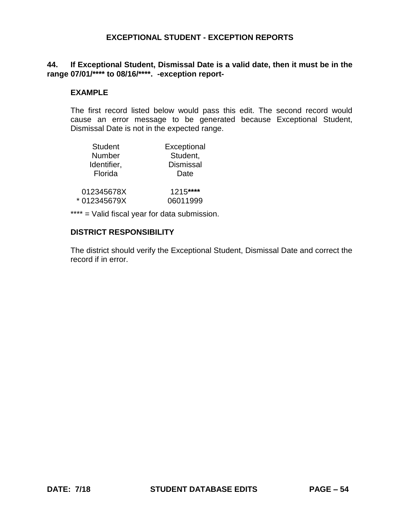# **44. If Exceptional Student, Dismissal Date is a valid date, then it must be in the range 07/01/\*\*\*\* to 08/16/\*\*\*\*. -exception report-**

## **EXAMPLE**

 The first record listed below would pass this edit. The second record would cause an error message to be generated because Exceptional Student, Dismissal Date is not in the expected range.

| <b>Student</b> | Exceptional      |
|----------------|------------------|
| Number         | Student,         |
| Identifier,    | <b>Dismissal</b> |
| Florida        | Date             |
| 012345678X     | 1215****         |
| *012345679X    | 06011999         |

\*\*\*\* = Valid fiscal year for data submission.

#### **DISTRICT RESPONSIBILITY**

 The district should verify the Exceptional Student, Dismissal Date and correct the record if in error.